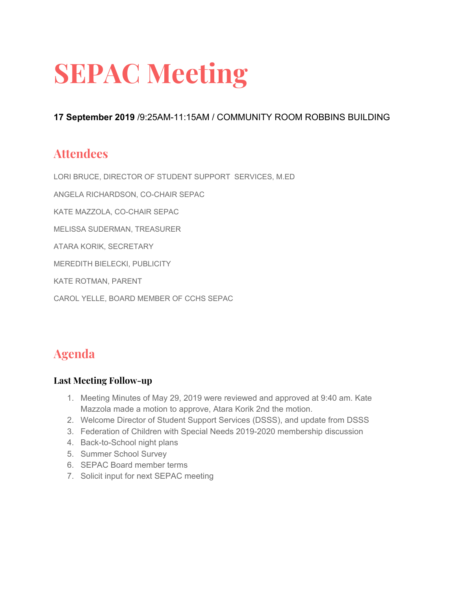# **SEPAC Meeting**

**17 September 2019** /9:25AM-11:15AM / COMMUNITY ROOM ROBBINS BUILDING

# **Attendees**

LORI BRUCE, DIRECTOR OF STUDENT SUPPORT SERVICES, M.ED

ANGELA RICHARDSON, CO-CHAIR SEPAC

KATE MAZZOLA, CO-CHAIR SEPAC

MELISSA SUDERMAN, TREASURER

ATARA KORIK, SECRETARY

MEREDITH BIELECKI, PUBLICITY

KATE ROTMAN, PARENT

CAROL YELLE, BOARD MEMBER OF CCHS SEPAC

# **Agenda**

## **Last Meeting Follow-up**

- 1. Meeting Minutes of May 29, 2019 were reviewed and approved at 9:40 am. Kate Mazzola made a motion to approve, Atara Korik 2nd the motion.
- 2. Welcome Director of Student Support Services (DSSS), and update from DSSS
- 3. Federation of Children with Special Needs 2019-2020 membership discussion
- 4. Back-to-School night plans
- 5. Summer School Survey
- 6. SEPAC Board member terms
- 7. Solicit input for next SEPAC meeting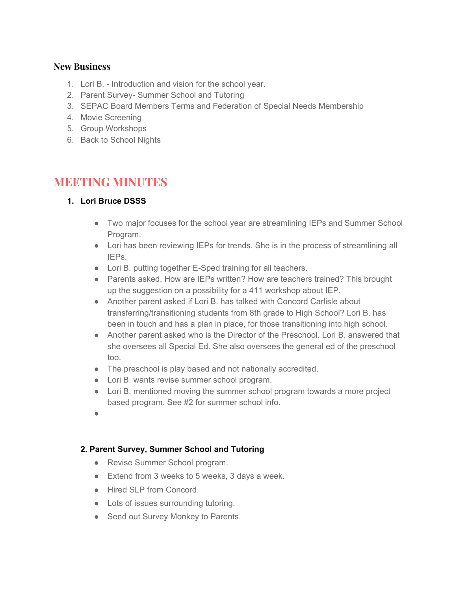#### **New Business**

- 1. Lori B. Introduction and vision for the school year.
- 2. Parent Survey- Summer School and Tutoring
- 3. SEPAC Board Members Terms and Federation of Special Needs Membership
- 4. Movie Screening
- 5. Group Workshops
- 6. Back to School Nights

# **MEETING MINUTES**

## **1. Lori Bruce DSSS**

- Two major focuses for the school year are streamlining IEPs and Summer School Program.
- Lori has been reviewing IEPs for trends. She is in the process of streamlining all IEPs.
- Lori B. putting together E-Sped training for all teachers.
- Parents asked, How are IEPs written? How are teachers trained? This brought up the suggestion on a possibility for a 411 workshop about IEP.
- Another parent asked if Lori B. has talked with Concord Carlisle about transferring/transitioning students from 8th grade to High School? Lori B. has been in touch and has a plan in place, for those transitioning into high school.
- Another parent asked who is the Director of the Preschool. Lori B. answered that she oversees all Special Ed. She also oversees the general ed of the preschool too.
- The preschool is play based and not nationally accredited.
- Lori B. wants revise summer school program.
- Lori B. mentioned moving the summer school program towards a more project based program. See #2 for summer school info.
- ●

## **2. Parent Survey, Summer School and Tutoring**

- Revise Summer School program.
- Extend from 3 weeks to 5 weeks, 3 days a week.
- Hired SLP from Concord.
- Lots of issues surrounding tutoring.
- Send out Survey Monkey to Parents.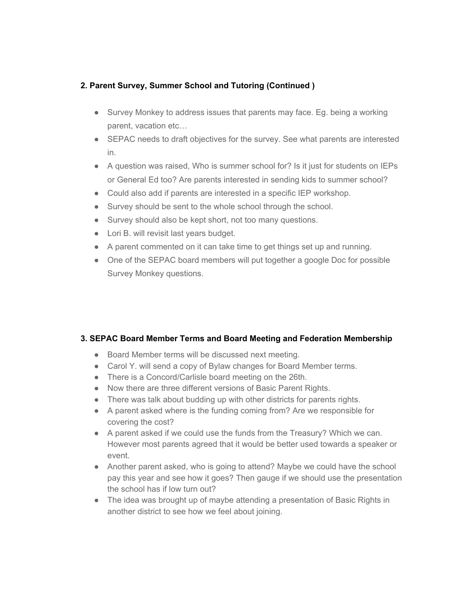#### **2. Parent Survey, Summer School and Tutoring (Continued )**

- Survey Monkey to address issues that parents may face. Eq. being a working parent, vacation etc…
- SEPAC needs to draft objectives for the survey. See what parents are interested in.
- A question was raised, Who is summer school for? Is it just for students on IEPs or General Ed too? Are parents interested in sending kids to summer school?
- Could also add if parents are interested in a specific IEP workshop.
- Survey should be sent to the whole school through the school.
- Survey should also be kept short, not too many questions.
- Lori B. will revisit last years budget.
- A parent commented on it can take time to get things set up and running.
- One of the SEPAC board members will put together a google Doc for possible Survey Monkey questions.

#### **3. SEPAC Board Member Terms and Board Meeting and Federation Membership**

- Board Member terms will be discussed next meeting.
- Carol Y. will send a copy of Bylaw changes for Board Member terms.
- There is a Concord/Carlisle board meeting on the 26th.
- Now there are three different versions of Basic Parent Rights.
- There was talk about budding up with other districts for parents rights.
- A parent asked where is the funding coming from? Are we responsible for covering the cost?
- A parent asked if we could use the funds from the Treasury? Which we can. However most parents agreed that it would be better used towards a speaker or event.
- Another parent asked, who is going to attend? Maybe we could have the school pay this year and see how it goes? Then gauge if we should use the presentation the school has if low turn out?
- The idea was brought up of maybe attending a presentation of Basic Rights in another district to see how we feel about joining.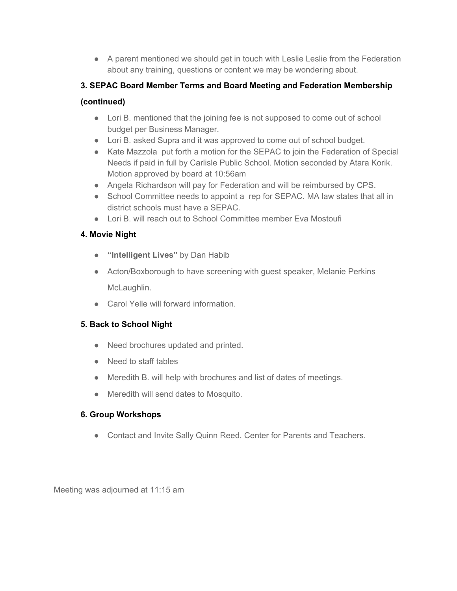• A parent mentioned we should get in touch with Leslie Leslie from the Federation about any training, questions or content we may be wondering about.

## **3. SEPAC Board Member Terms and Board Meeting and Federation Membership**

## **(continued)**

- Lori B. mentioned that the joining fee is not supposed to come out of school budget per Business Manager.
- Lori B. asked Supra and it was approved to come out of school budget.
- Kate Mazzola put forth a motion for the SEPAC to join the Federation of Special Needs if paid in full by Carlisle Public School. Motion seconded by Atara Korik. Motion approved by board at 10:56am
- Angela Richardson will pay for Federation and will be reimbursed by CPS.
- School Committee needs to appoint a rep for SEPAC. MA law states that all in district schools must have a SEPAC.
- Lori B. will reach out to School Committee member Eva Mostoufi

# **4. Movie Night**

- **● "Intelligent Lives"** by Dan Habib
- Acton/Boxborough to have screening with guest speaker, Melanie Perkins McLaughlin.
- Carol Yelle will forward information.

# **5. Back to School Night**

- Need brochures updated and printed.
- Need to staff tables
- Meredith B. will help with brochures and list of dates of meetings.
- Meredith will send dates to Mosquito.

## **6. Group Workshops**

● Contact and Invite Sally Quinn Reed, Center for Parents and Teachers.

Meeting was adjourned at 11:15 am